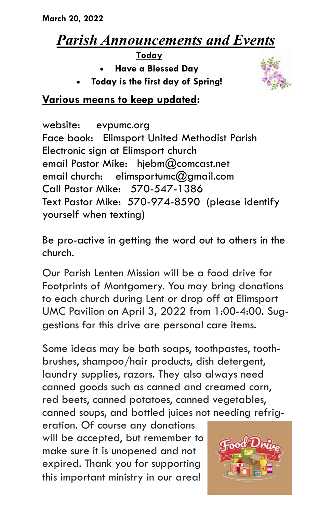# *Parish Announcements and Events*

**Today**

- **Have a Blessed Day**
- **Today is the first day of Spring!**



## **Various means to keep updated:**

website: evpumc.org Face book: Elimsport United Methodist Parish Electronic sign at Elimsport church email Pastor Mike: hjebm@comcast.net email church: elimsportumc $@$ amail.com Call Pastor Mike: 570-547-1386 Text Pastor Mike: 570-974-8590 (please identify yourself when texting)

Be pro-active in getting the word out to others in the church.

Our Parish Lenten Mission will be a food drive for Footprints of Montgomery. You may bring donations to each church during Lent or drop off at Elimsport UMC Pavilion on April 3, 2022 from 1:00-4:00. Suggestions for this drive are personal care items.

Some ideas may be bath soaps, toothpastes, toothbrushes, shampoo/hair products, dish detergent, laundry supplies, razors. They also always need canned goods such as canned and creamed corn, red beets, canned potatoes, canned vegetables, canned soups, and bottled juices not needing refrig-

eration. Of course any donations will be accepted, but remember to make sure it is unopened and not expired. Thank you for supporting this important ministry in our area!

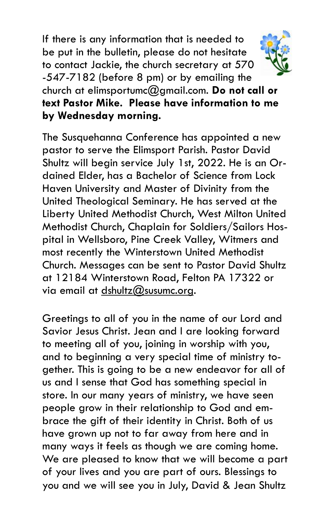If there is any information that is needed to be put in the bulletin, please do not hesitate to contact Jackie, the church secretary at 570 -547-7182 (before 8 pm) or by emailing the church at elimsportumc@gmail.com. **Do not call or text Pastor Mike. Please have information to me by Wednesday morning.**



The Susquehanna Conference has appointed a new pastor to serve the Elimsport Parish. Pastor David Shultz will begin service July 1st, 2022. He is an Ordained Elder, has a Bachelor of Science from Lock Haven University and Master of Divinity from the United Theological Seminary. He has served at the Liberty United Methodist Church, West Milton United Methodist Church, Chaplain for Soldiers/Sailors Hospital in Wellsboro, Pine Creek Valley, Witmers and most recently the Winterstown United Methodist Church. Messages can be sent to Pastor David Shultz at 12184 Winterstown Road, Felton PA 17322 or via email at [dshultz@susumc.org.](mailto:dshultz@susumc.org)

Greetings to all of you in the name of our Lord and Savior Jesus Christ. Jean and I are looking forward to meeting all of you, joining in worship with you, and to beginning a very special time of ministry together. This is going to be a new endeavor for all of us and I sense that God has something special in store. In our many years of ministry, we have seen people grow in their relationship to God and embrace the gift of their identity in Christ. Both of us have grown up not to far away from here and in many ways it feels as though we are coming home. We are pleased to know that we will become a part of your lives and you are part of ours. Blessings to you and we will see you in July, David & Jean Shultz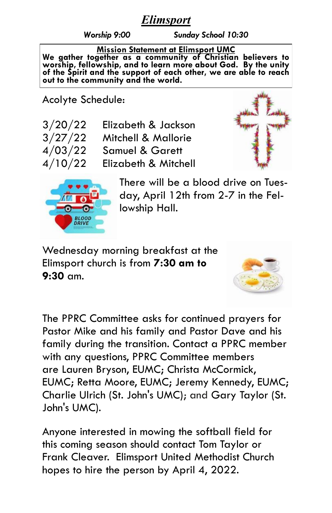# *Elimsport*

*Worship 9:00 Sunday School 10:30*

#### **Mission Statement at Elimsport UMC**

**We gather together as a community of Christian believers to worship, fellowship, and to learn more about God. By the unity of the Spirit and the support of each other, we are able to reach out to the community and the world.**

Acolyte Schedule:

| 3/20/22 | Elizabeth & Jackson        |
|---------|----------------------------|
| 3/27/22 | Mitchell & Mallorie        |
| 4/03/22 | <b>Samuel &amp; Garett</b> |
| 4/10/22 | Elizabeth & Mitchell       |





There will be a blood drive on Tuesday, April 12th from 2-7 in the Fellowship Hall.

Wednesday morning breakfast at the Elimsport church is from **7:30 am to 9:30** am.



The PPRC Committee asks for continued prayers for Pastor Mike and his family and Pastor Dave and his family during the transition. Contact a PPRC member with any questions, PPRC Committee members are Lauren Bryson, EUMC; Christa McCormick, EUMC; Retta Moore, EUMC; Jeremy Kennedy, EUMC; Charlie Ulrich (St. John's UMC); and Gary Taylor (St. John's UMC).

Anyone interested in mowing the softball field for this coming season should contact Tom Taylor or Frank Cleaver. Elimsport United Methodist Church hopes to hire the person by April 4, 2022.